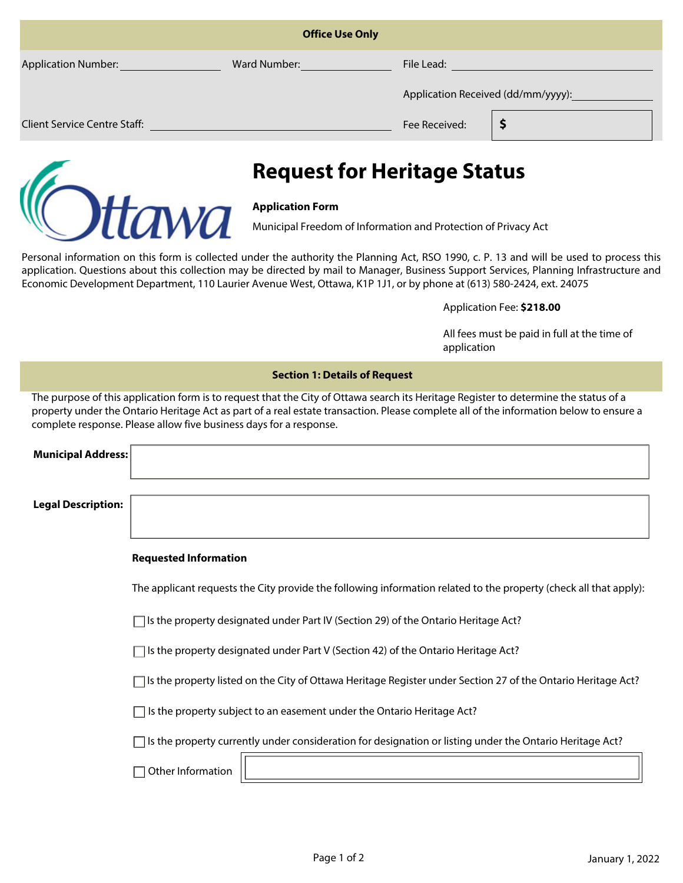| <b>Office Use Only</b>              |              |                                    |   |  |
|-------------------------------------|--------------|------------------------------------|---|--|
| <b>Application Number:</b>          | Ward Number: | File Lead:                         |   |  |
|                                     |              | Application Received (dd/mm/yyyy): |   |  |
| <b>Client Service Centre Staff:</b> |              | Fee Received:                      | Р |  |



# **Request for Heritage Status**

### **Application Form**

Municipal Freedom of Information and Protection of Privacy Act

Personal information on this form is collected under the authority the Planning Act, RSO 1990, c. P. 13 and will be used to process this application. Questions about this collection may be directed by mail to Manager, Business Support Services, Planning Infrastructure and Economic Development Department, 110 Laurier Avenue West, Ottawa, K1P 1J1, or by phone at (613) 580-2424, ext. 24075

#### Application Fee: **\$218.00**

All fees must be paid in full at the time of application

#### **Section 1: Details of Request**

The purpose of this application form is to request that the City of Ottawa search its Heritage Register to determine the status of a property under the Ontario Heritage Act as part of a real estate transaction. Please complete all of the information below to ensure a complete response. Please allow five business days for a response.

| <b>Municipal Address:</b> |                                                                                                                     |
|---------------------------|---------------------------------------------------------------------------------------------------------------------|
|                           |                                                                                                                     |
| <b>Legal Description:</b> |                                                                                                                     |
|                           |                                                                                                                     |
|                           | <b>Requested Information</b>                                                                                        |
|                           | The applicant requests the City provide the following information related to the property (check all that apply):   |
|                           | $\Box$ Is the property designated under Part IV (Section 29) of the Ontario Heritage Act?                           |
|                           | $\overline{\phantom{x}}$ Is the property designated under Part V (Section 42) of the Ontario Heritage Act?          |
|                           | $\Box$ Is the property listed on the City of Ottawa Heritage Register under Section 27 of the Ontario Heritage Act? |
|                           | Is the property subject to an easement under the Ontario Heritage Act?                                              |
|                           | $\Box$ Is the property currently under consideration for designation or listing under the Ontario Heritage Act?     |
|                           | Other Information                                                                                                   |